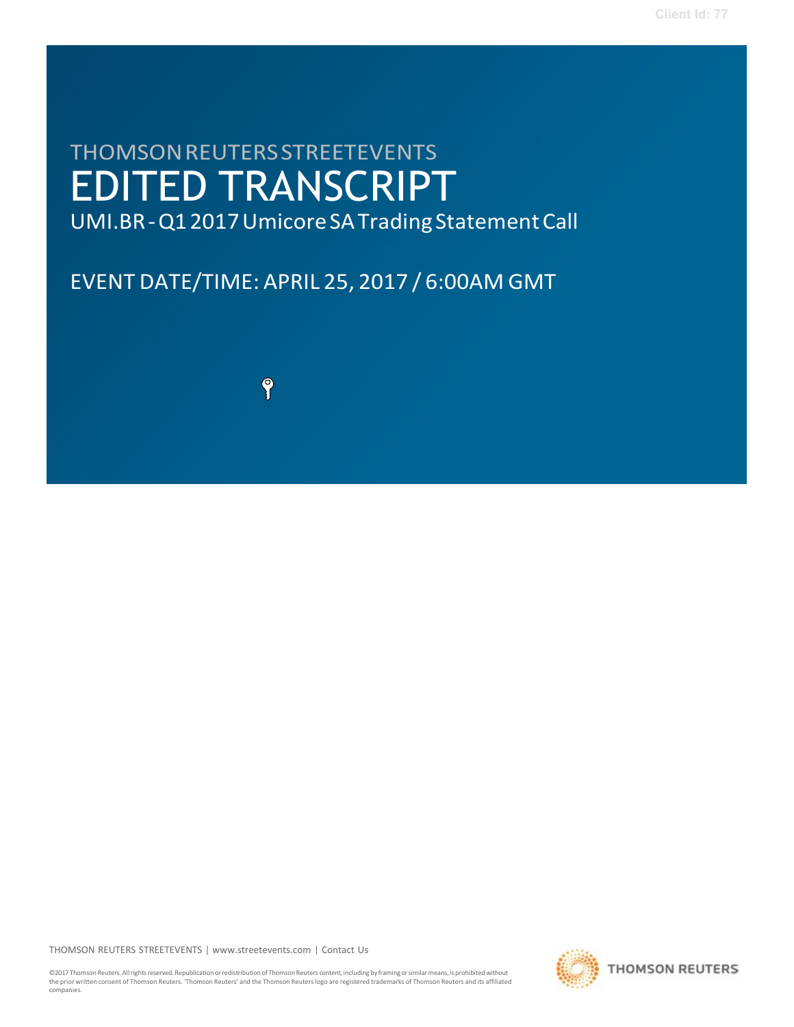# THOMSONREUTERSSTREETEVENTS EDITED TRANSCRIPT

UMI.BR - Q1 2017 Umicore SA Trading Statement Call

EVENT DATE/TIME: APRIL 25, 2017 / 6:00AM GMT

9

THOMSON REUTERS STREETEVENTS | [www.streetevents.com](http://www.streetevents.com/) | [Contact](http://www010.streetevents.com/contact.asp) Us

©2017 Thomson Reuters. All rights reserved. Republication or redistribution of Thomson Reuters content, including by framing or similar means, is prohibited without the prior written consent of Thomson Reuters. 'Thomson Reuters' and the Thomson Reuters logo are registered trademarks of Thomson Reuters and its affiliated companies.

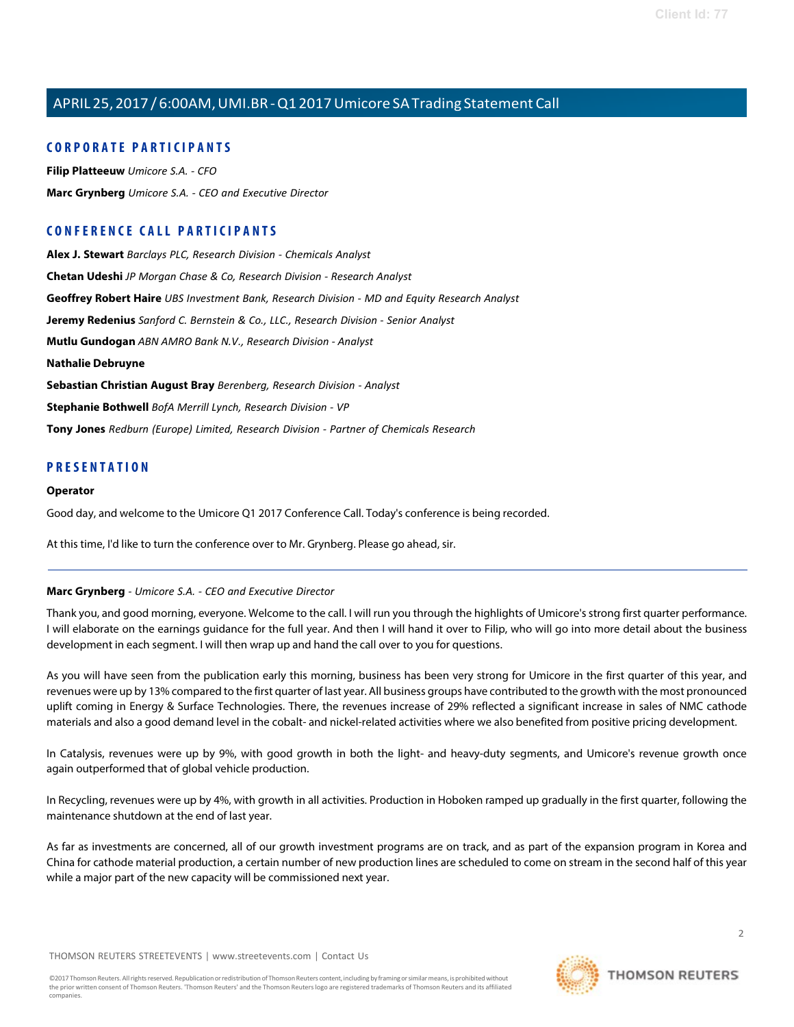## **C O R P O R A TE P A R TICI P A N TS**

**Filip [Platteeuw](#page-2-0)** *Umicore S.A. - CFO* **Marc [Grynberg](#page-1-0)** *Umicore S.A. - CEO and Executive Director*

## **C O N FE R E N CE C A LL P A R TICI P A N TS**

**Alex J. [Stewart](#page-4-0)** *Barclays PLC, Research Division - Chemicals Analyst* **[Chetan](#page-9-0) Udeshi** *JP Morgan Chase & Co, Research Division - Research Analyst* **[Geoffrey](#page-8-0) Robert Haire** *UBS Investment Bank, Research Division - MD and Equity Research Analyst* **Jeremy [Redenius](#page-5-0)** *Sanford C. Bernstein & Co., LLC., Research Division - Senior Analyst* **Mutlu [Gundogan](#page-6-0)** *ABN AMRO Bank N.V., Research Division - Analyst* **[Nathalie Debruyne](#page-7-0) [Sebastian](#page-10-0) Christian August Bray** *Berenberg, Research Division - Analyst* **[Stephanie](#page-10-1) Bothwell** *BofA Merrill Lynch, Research Division - VP* **Tony [Jones](#page-4-1)** *Redburn (Europe) Limited, Research Division - Partner of Chemicals Research*

## **P R ESE N T A TI O N**

#### **Operator**

Good day, and welcome to the Umicore Q1 2017 Conference Call. Today's conference is being recorded.

<span id="page-1-0"></span>At this time, I'd like to turn the conference over to Mr. Grynberg. Please go ahead, sir.

#### **Marc Grynberg** *- Umicore S.A. - CEO and Executive Director*

Thank you, and good morning, everyone. Welcome to the call. I will run you through the highlights of Umicore's strong first quarter performance. I will elaborate on the earnings guidance for the full year. And then I will hand it over to Filip, who will go into more detail about the business development in each segment. I will then wrap up and hand the call over to you for questions.

As you will have seen from the publication early this morning, business has been very strong for Umicore in the first quarter of this year, and revenues were up by 13% compared to the first quarter of last year. All business groups have contributed to the growth with the most pronounced uplift coming in Energy & Surface Technologies. There, the revenues increase of 29% reflected a significant increase in sales of NMC cathode materials and also a good demand level in the cobalt- and nickel-related activities where we also benefited from positive pricing development.

In Catalysis, revenues were up by 9%, with good growth in both the light- and heavy-duty segments, and Umicore's revenue growth once again outperformed that of global vehicle production.

In Recycling, revenues were up by 4%, with growth in all activities. Production in Hoboken ramped up gradually in the first quarter, following the maintenance shutdown at the end of last year.

As far as investments are concerned, all of our growth investment programs are on track, and as part of the expansion program in Korea and China for cathode material production, a certain number of new production lines are scheduled to come on stream in the second half of this year while a major part of the new capacity will be commissioned next year.

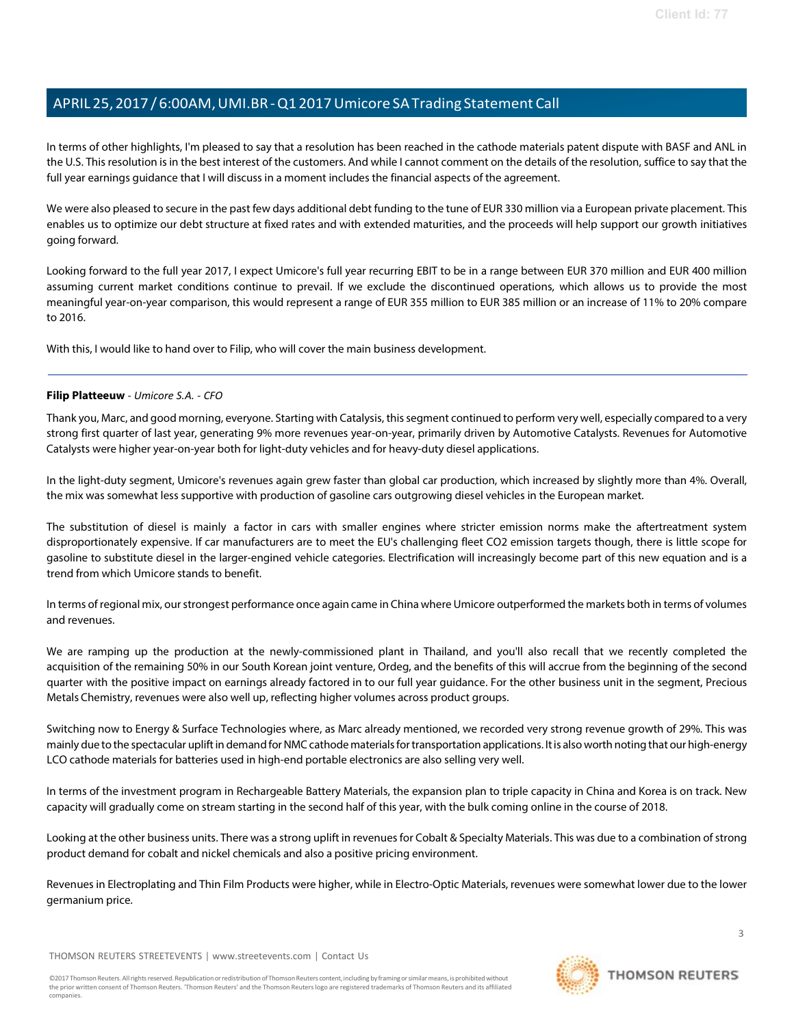In terms of other highlights, I'm pleased to say that a resolution has been reached in the cathode materials patent dispute with BASF and ANL in the U.S. This resolution is in the best interest of the customers. And while I cannot comment on the details of the resolution, suffice to say that the full year earnings guidance that I will discuss in a moment includes the financial aspects of the agreement.

We were also pleased to secure in the past few days additional debt funding to the tune of EUR 330 million via a European private placement. This enables us to optimize our debt structure at fixed rates and with extended maturities, and the proceeds will help support our growth initiatives going forward.

Looking forward to the full year 2017, I expect Umicore's full year recurring EBIT to be in a range between EUR 370 million and EUR 400 million assuming current market conditions continue to prevail. If we exclude the discontinued operations, which allows us to provide the most meaningful year-on-year comparison, this would represent a range of EUR 355 million to EUR 385 million or an increase of 11% to 20% compare to 2016.

<span id="page-2-0"></span>With this, I would like to hand over to Filip, who will cover the main business development.

### **Filip Platteeuw** *- Umicore S.A. - CFO*

Thank you, Marc, and good morning, everyone. Starting with Catalysis, thissegment continued to perform very well, especially compared to a very strong first quarter of last year, generating 9% more revenues year-on-year, primarily driven by Automotive Catalysts. Revenues for Automotive Catalysts were higher year-on-year both for light-duty vehicles and for heavy-duty diesel applications.

In the light-duty segment, Umicore's revenues again grew faster than global car production, which increased by slightly more than 4%. Overall, the mix was somewhat less supportive with production of gasoline cars outgrowing diesel vehicles in the European market.

The substitution of diesel is mainly a factor in cars with smaller engines where stricter emission norms make the aftertreatment system disproportionately expensive. If car manufacturers are to meet the EU's challenging fleet CO2 emission targets though, there is little scope for gasoline to substitute diesel in the larger-engined vehicle categories. Electrification will increasingly become part of this new equation and is a trend from which Umicore stands to benefit.

In terms of regional mix, ourstrongest performance once again came in China where Umicore outperformed the markets both in terms of volumes and revenues.

We are ramping up the production at the newly-commissioned plant in Thailand, and you'll also recall that we recently completed the acquisition of the remaining 50% in our South Korean joint venture, Ordeg, and the benefits of this will accrue from the beginning of the second quarter with the positive impact on earnings already factored in to our full year guidance. For the other business unit in the segment, Precious Metals Chemistry, revenues were also well up, reflecting higher volumes across product groups.

Switching now to Energy & Surface Technologies where, as Marc already mentioned, we recorded very strong revenue growth of 29%. This was mainly due to the spectacular uplift in demand for NMC cathode materials for transportation applications. It is also worth noting that our high-energy LCO cathode materials for batteries used in high-end portable electronics are also selling very well.

In terms of the investment program in Rechargeable Battery Materials, the expansion plan to triple capacity in China and Korea is on track. New capacity will gradually come on stream starting in the second half of this year, with the bulk coming online in the course of 2018.

Looking at the other business units. There was a strong uplift in revenuesfor Cobalt & Specialty Materials. This was due to a combination ofstrong product demand for cobalt and nickel chemicals and also a positive pricing environment.

Revenues in Electroplating and Thin Film Products were higher, while in Electro-Optic Materials, revenues were somewhat lower due to the lower germanium price.

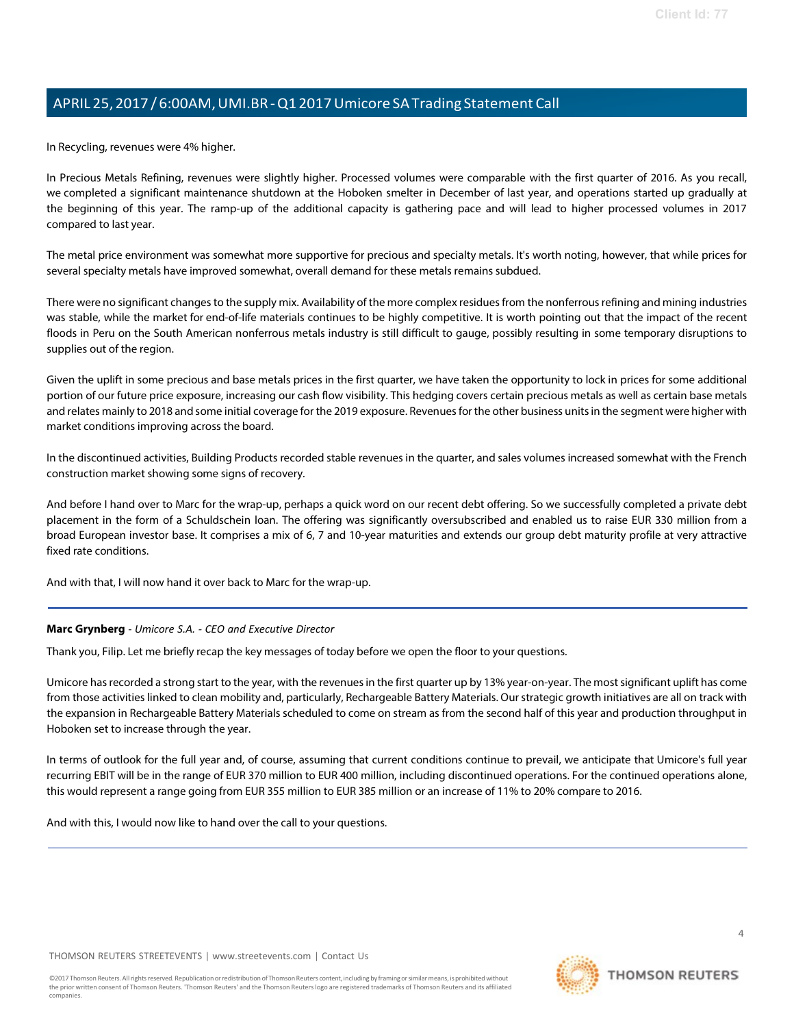In Recycling, revenues were 4% higher.

In Precious Metals Refining, revenues were slightly higher. Processed volumes were comparable with the first quarter of 2016. As you recall, we completed a significant maintenance shutdown at the Hoboken smelter in December of last year, and operations started up gradually at the beginning of this year. The ramp-up of the additional capacity is gathering pace and will lead to higher processed volumes in 2017 compared to last year.

The metal price environment was somewhat more supportive for precious and specialty metals. It's worth noting, however, that while prices for several specialty metals have improved somewhat, overall demand for these metals remains subdued.

There were no significant changes to the supply mix. Availability of the more complex residues from the nonferrous refining and mining industries was stable, while the market for end-of-life materials continues to be highly competitive. It is worth pointing out that the impact of the recent floods in Peru on the South American nonferrous metals industry is still difficult to gauge, possibly resulting in some temporary disruptions to supplies out of the region.

Given the uplift in some precious and base metals prices in the first quarter, we have taken the opportunity to lock in prices for some additional portion of our future price exposure, increasing our cash flow visibility. This hedging covers certain precious metals as well as certain base metals and relates mainly to 2018 and some initial coverage for the 2019 exposure. Revenuesfor the other business unitsin the segment were higher with market conditions improving across the board.

In the discontinued activities, Building Products recorded stable revenues in the quarter, and sales volumes increased somewhat with the French construction market showing some signs of recovery.

And before I hand over to Marc for the wrap-up, perhaps a quick word on our recent debt offering. So we successfully completed a private debt placement in the form of a Schuldschein loan. The offering was significantly oversubscribed and enabled us to raise EUR 330 million from a broad European investor base. It comprises a mix of 6, 7 and 10-year maturities and extends our group debt maturity profile at very attractive fixed rate conditions.

And with that, I will now hand it over back to Marc for the wrap-up.

#### **Marc Grynberg** *- Umicore S.A. - CEO and Executive Director*

Thank you, Filip. Let me briefly recap the key messages of today before we open the floor to your questions.

Umicore has recorded a strong start to the year, with the revenues in the first quarter up by 13% year-on-year. The most significant uplift has come from those activities linked to clean mobility and, particularly, Rechargeable Battery Materials. Ourstrategic growth initiatives are all on track with the expansion in Rechargeable Battery Materials scheduled to come on stream as from the second half of this year and production throughput in Hoboken set to increase through the year.

In terms of outlook for the full year and, of course, assuming that current conditions continue to prevail, we anticipate that Umicore's full year recurring EBIT will be in the range of EUR 370 million to EUR 400 million, including discontinued operations. For the continued operations alone, this would represent a range going from EUR 355 million to EUR 385 million or an increase of 11% to 20% compare to 2016.

And with this, I would now like to hand over the call to your questions.

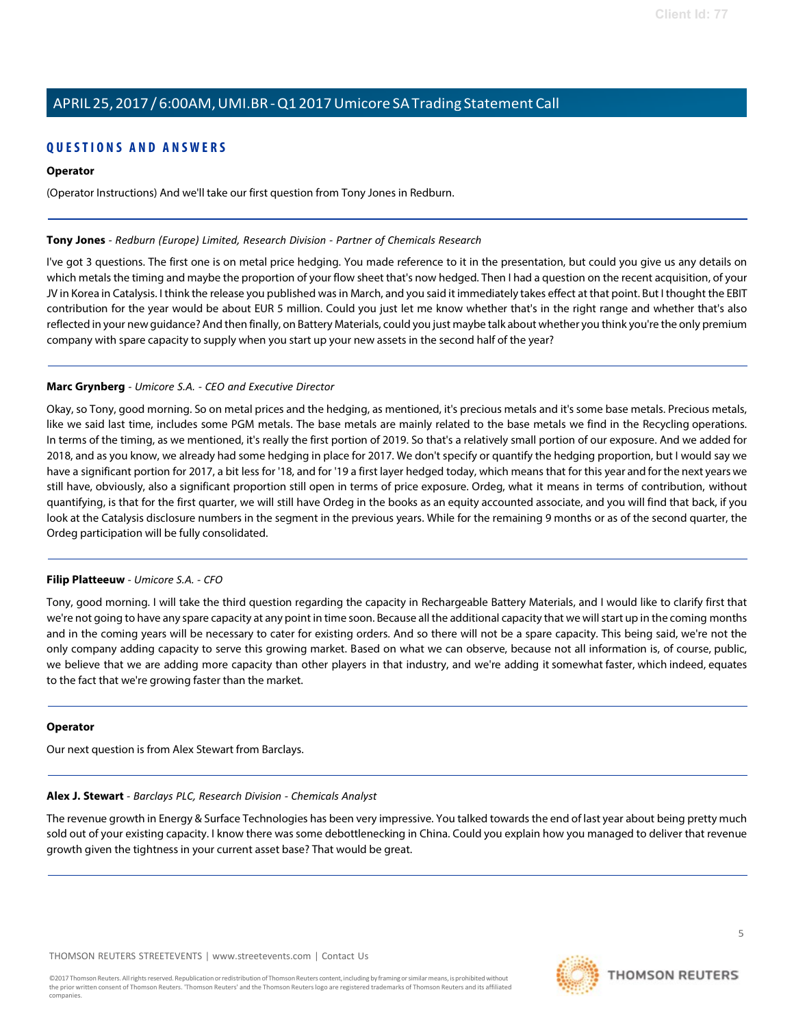## **Q U ESTI O N S A N D A N S WE R S**

#### **Operator**

(Operator Instructions) And we'll take our first question from Tony Jones in Redburn.

#### <span id="page-4-1"></span>**Tony Jones** *- Redburn (Europe) Limited, Research Division - Partner of Chemicals Research*

I've got 3 questions. The first one is on metal price hedging. You made reference to it in the presentation, but could you give us any details on which metals the timing and maybe the proportion of your flow sheet that's now hedged. Then I had a question on the recent acquisition, of your JV in Korea in Catalysis. I think the release you published wasin March, and you said it immediately takes effect at that point. But I thought the EBIT contribution for the year would be about EUR 5 million. Could you just let me know whether that's in the right range and whether that's also reflected in your new guidance? And then finally, on Battery Materials, could you just maybe talk about whether you think you're the only premium company with spare capacity to supply when you start up your new assets in the second half of the year?

#### **Marc Grynberg** *- Umicore S.A. - CEO and Executive Director*

Okay, so Tony, good morning. So on metal prices and the hedging, as mentioned, it's precious metals and it's some base metals. Precious metals, like we said last time, includes some PGM metals. The base metals are mainly related to the base metals we find in the Recycling operations. In terms of the timing, as we mentioned, it's really the first portion of 2019. So that's a relatively small portion of our exposure. And we added for 2018, and as you know, we already had some hedging in place for 2017. We don't specify or quantify the hedging proportion, but I would say we have a significant portion for 2017, a bit less for '18, and for '19 a first layer hedged today, which means that for this year and for the next years we still have, obviously, also a significant proportion still open in terms of price exposure. Ordeg, what it means in terms of contribution, without quantifying, is that for the first quarter, we will still have Ordeg in the books as an equity accounted associate, and you will find that back, if you look at the Catalysis disclosure numbers in the segment in the previous years. While for the remaining 9 months or as of the second quarter, the Ordeg participation will be fully consolidated.

#### **Filip Platteeuw** *- Umicore S.A. - CFO*

Tony, good morning. I will take the third question regarding the capacity in Rechargeable Battery Materials, and I would like to clarify first that we're not going to have any spare capacity at any point in time soon. Because all the additional capacity that we willstart up in the coming months and in the coming years will be necessary to cater for existing orders. And so there will not be a spare capacity. This being said, we're not the only company adding capacity to serve this growing market. Based on what we can observe, because not all information is, of course, public, we believe that we are adding more capacity than other players in that industry, and we're adding it somewhat faster, which indeed, equates to the fact that we're growing faster than the market.

#### <span id="page-4-0"></span>**Operator**

Our next question is from Alex Stewart from Barclays.

#### **Alex J. Stewart** *- Barclays PLC, Research Division - Chemicals Analyst*

The revenue growth in Energy & Surface Technologies has been very impressive. You talked towards the end of last year about being pretty much sold out of your existing capacity. I know there was some debottlenecking in China. Could you explain how you managed to deliver that revenue growth given the tightness in your current asset base? That would be great.

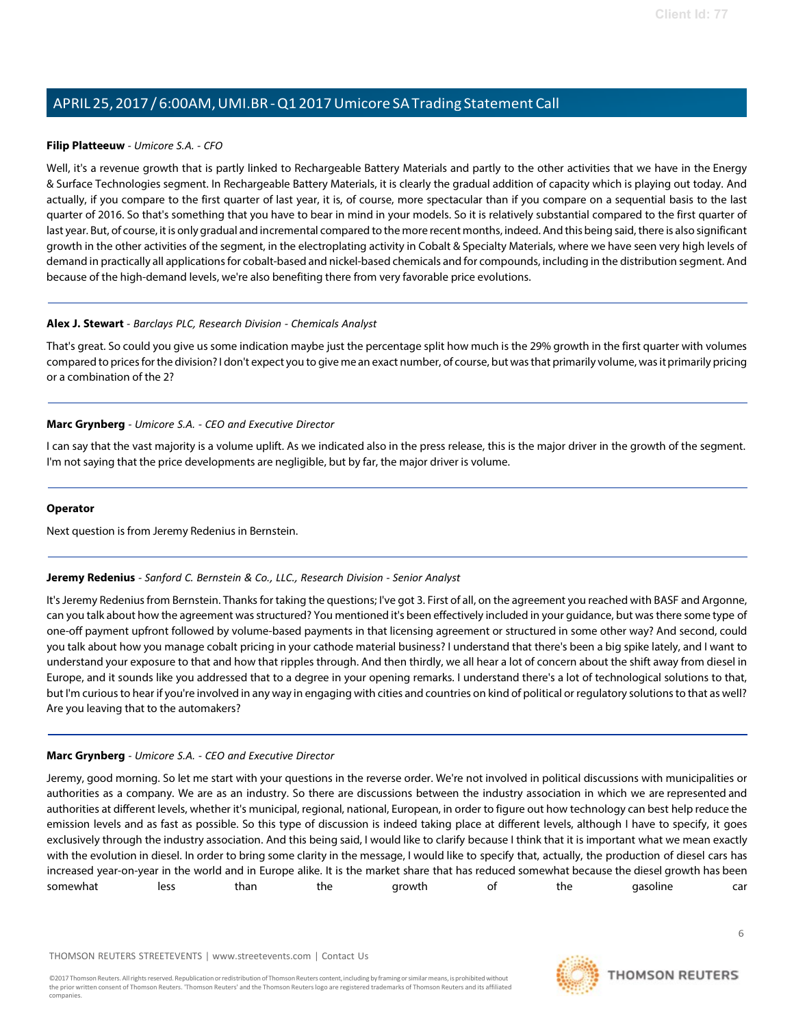#### **Filip Platteeuw** *- Umicore S.A. - CFO*

Well, it's a revenue growth that is partly linked to Rechargeable Battery Materials and partly to the other activities that we have in the Energy & Surface Technologies segment. In Rechargeable Battery Materials, it is clearly the gradual addition of capacity which is playing out today. And actually, if you compare to the first quarter of last year, it is, of course, more spectacular than if you compare on a sequential basis to the last quarter of 2016. So that's something that you have to bear in mind in your models. So it is relatively substantial compared to the first quarter of last year. But, of course, it is only gradual and incremental compared to the more recent months, indeed. And this being said, there is also significant growth in the other activities of the segment, in the electroplating activity in Cobalt & Specialty Materials, where we have seen very high levels of demand in practically all applicationsfor cobalt-based and nickel-based chemicals and for compounds, including in the distribution segment. And because of the high-demand levels, we're also benefiting there from very favorable price evolutions.

#### **Alex J. Stewart** *- Barclays PLC, Research Division - Chemicals Analyst*

That's great. So could you give us some indication maybe just the percentage split how much is the 29% growth in the first quarter with volumes compared to prices for the division? I don't expect you to give me an exact number, of course, but was that primarily volume, was it primarily pricing or a combination of the 2?

#### **Marc Grynberg** *- Umicore S.A. - CEO and Executive Director*

I can say that the vast majority is a volume uplift. As we indicated also in the press release, this is the major driver in the growth of the segment. I'm not saying that the price developments are negligible, but by far, the major driver is volume.

#### <span id="page-5-0"></span>**Operator**

Next question is from Jeremy Redenius in Bernstein.

#### **Jeremy Redenius** *- Sanford C. Bernstein & Co., LLC., Research Division - Senior Analyst*

It's Jeremy Redenius from Bernstein. Thanks for taking the questions; I've got 3. First of all, on the agreement you reached with BASF and Argonne, can you talk about how the agreement wasstructured? You mentioned it's been effectively included in your guidance, but wasthere some type of one-off payment upfront followed by volume-based payments in that licensing agreement or structured in some other way? And second, could you talk about how you manage cobalt pricing in your cathode material business? I understand that there's been a big spike lately, and I want to understand your exposure to that and how that ripples through. And then thirdly, we all hear a lot of concern about the shift away from diesel in Europe, and it sounds like you addressed that to a degree in your opening remarks. I understand there's a lot of technological solutions to that, but I'm curious to hear if you're involved in any way in engaging with cities and countries on kind of political or regulatory solutions to that as well? Are you leaving that to the automakers?

#### **Marc Grynberg** *- Umicore S.A. - CEO and Executive Director*

Jeremy, good morning. So let me start with your questions in the reverse order. We're not involved in political discussions with municipalities or authorities as a company. We are as an industry. So there are discussions between the industry association in which we are represented and authorities at different levels, whether it's municipal, regional, national, European, in order to figure out how technology can best help reduce the emission levels and as fast as possible. So this type of discussion is indeed taking place at different levels, although I have to specify, it goes exclusively through the industry association. And this being said, I would like to clarify because I think that it is important what we mean exactly with the evolution in diesel. In order to bring some clarity in the message, I would like to specify that, actually, the production of diesel cars has increased year-on-year in the world and in Europe alike. It is the market share that has reduced somewhat because the diesel growth has been somewhat less than the growth of the gasoline car

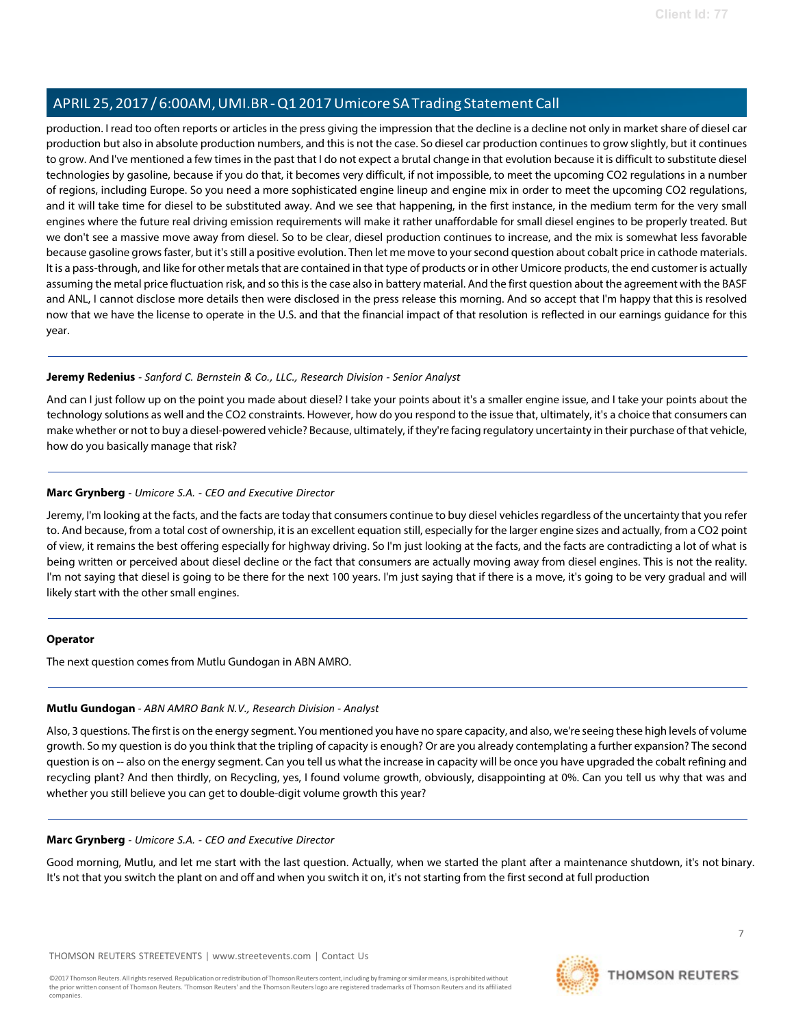production. I read too often reports or articles in the press giving the impression that the decline is a decline not only in market share of diesel car production but also in absolute production numbers, and this is not the case. So diesel car production continues to grow slightly, but it continues to grow. And I've mentioned a few times in the past that I do not expect a brutal change in that evolution because it is difficult to substitute diesel technologies by gasoline, because if you do that, it becomes very difficult, if not impossible, to meet the upcoming CO2 regulations in a number of regions, including Europe. So you need a more sophisticated engine lineup and engine mix in order to meet the upcoming CO2 regulations, and it will take time for diesel to be substituted away. And we see that happening, in the first instance, in the medium term for the very small engines where the future real driving emission requirements will make it rather unaffordable for small diesel engines to be properly treated. But we don't see a massive move away from diesel. So to be clear, diesel production continues to increase, and the mix is somewhat less favorable because gasoline growsfaster, but it'sstill a positive evolution. Then let me move to yoursecond question about cobalt price in cathode materials. It is a pass-through, and like for other metals that are contained in that type of products or in other Umicore products, the end customer is actually assuming the metal price fluctuation risk, and so this is the case also in battery material. And the first question about the agreement with the BASF and ANL, I cannot disclose more details then were disclosed in the press release this morning. And so accept that I'm happy that this is resolved now that we have the license to operate in the U.S. and that the financial impact of that resolution is reflected in our earnings guidance for this year.

#### **Jeremy Redenius** *- Sanford C. Bernstein & Co., LLC., Research Division - Senior Analyst*

And can I just follow up on the point you made about diesel? I take your points about it's a smaller engine issue, and I take your points about the technology solutions as well and the CO2 constraints. However, how do you respond to the issue that, ultimately, it's a choice that consumers can make whether or not to buy a diesel-powered vehicle? Because, ultimately, if they're facing regulatory uncertainty in their purchase of that vehicle, how do you basically manage that risk?

### **Marc Grynberg** *- Umicore S.A. - CEO and Executive Director*

Jeremy, I'm looking at the facts, and the facts are today that consumers continue to buy diesel vehicles regardless of the uncertainty that you refer to. And because, from a total cost of ownership, it is an excellent equation still, especially for the larger engine sizes and actually, from a CO2 point of view, it remains the best offering especially for highway driving. So I'm just looking at the facts, and the facts are contradicting a lot of what is being written or perceived about diesel decline or the fact that consumers are actually moving away from diesel engines. This is not the reality. I'm not saying that diesel is going to be there for the next 100 years. I'm just saying that if there is a move, it's going to be very gradual and will likely start with the other small engines.

#### <span id="page-6-0"></span>**Operator**

The next question comes from Mutlu Gundogan in ABN AMRO.

#### **Mutlu Gundogan** *- ABN AMRO Bank N.V., Research Division - Analyst*

Also, 3 questions. The firstis on the energy segment. You mentioned you have no spare capacity, and also, we're seeing these high levels of volume growth. So my question is do you think that the tripling of capacity is enough? Or are you already contemplating a further expansion? The second question is on -- also on the energy segment. Can you tell us what the increase in capacity will be once you have upgraded the cobalt refining and recycling plant? And then thirdly, on Recycling, yes, I found volume growth, obviously, disappointing at 0%. Can you tell us why that was and whether you still believe you can get to double-digit volume growth this year?

### **Marc Grynberg** *- Umicore S.A. - CEO and Executive Director*

Good morning, Mutlu, and let me start with the last question. Actually, when we started the plant after a maintenance shutdown, it's not binary. It's not that you switch the plant on and off and when you switch it on, it's not starting from the first second at full production

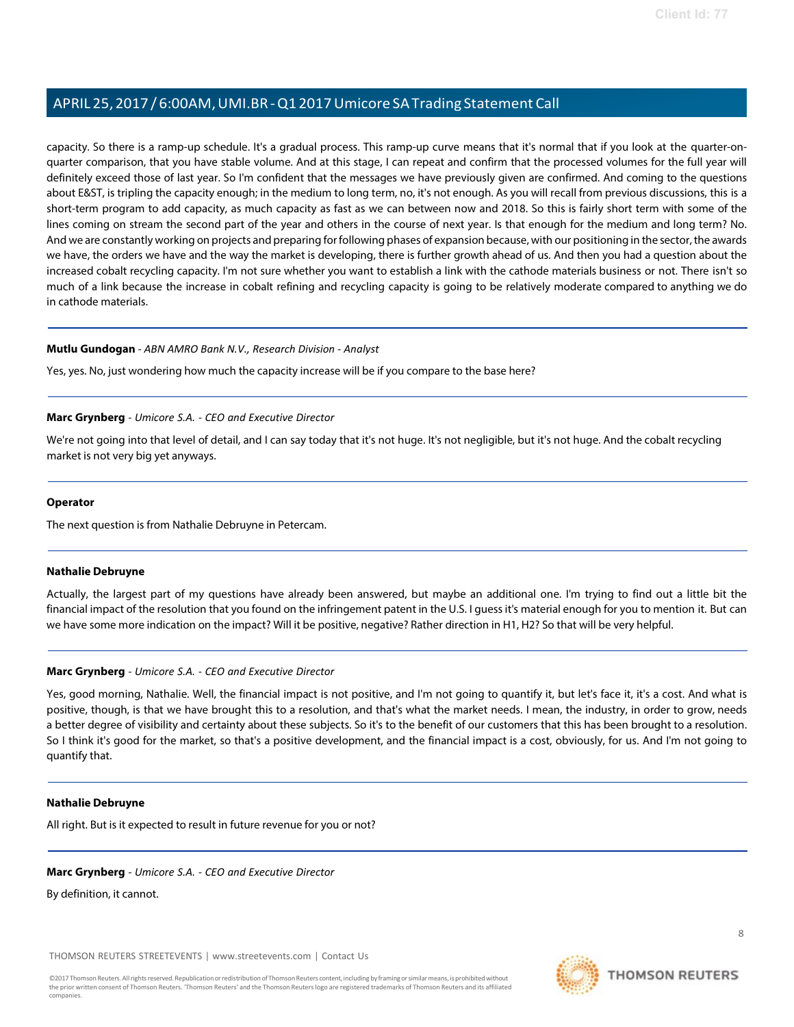capacity. So there is a ramp-up schedule. It's a gradual process. This ramp-up curve means that it's normal that if you look at the quarter-onquarter comparison, that you have stable volume. And at this stage, I can repeat and confirm that the processed volumes for the full year will definitely exceed those of last year. So I'm confident that the messages we have previously given are confirmed. And coming to the questions about E&ST, is tripling the capacity enough; in the medium to long term, no, it's not enough. As you will recall from previous discussions, this is a short-term program to add capacity, as much capacity as fast as we can between now and 2018. So this is fairly short term with some of the lines coming on stream the second part of the year and others in the course of next year. Is that enough for the medium and long term? No. And we are constantly working on projects and preparing for following phases of expansion because, with our positioning in the sector, the awards we have, the orders we have and the way the market is developing, there is further growth ahead of us. And then you had a question about the increased cobalt recycling capacity. I'm not sure whether you want to establish a link with the cathode materials business or not. There isn't so much of a link because the increase in cobalt refining and recycling capacity is going to be relatively moderate compared to anything we do in cathode materials.

#### **Mutlu Gundogan** *- ABN AMRO Bank N.V., Research Division - Analyst*

Yes, yes. No, just wondering how much the capacity increase will be if you compare to the base here?

#### **Marc Grynberg** *- Umicore S.A. - CEO and Executive Director*

We're not going into that level of detail, and I can say today that it's not huge. It's not negligible, but it's not huge. And the cobalt recycling market is not very big yet anyways.

#### **Operator**

<span id="page-7-0"></span>The next question is from Nathalie Debruyne in Petercam.

#### **Nathalie Debruyne**

Actually, the largest part of my questions have already been answered, but maybe an additional one. I'm trying to find out a little bit the financial impact of the resolution that you found on the infringement patent in the U.S. I guess it's material enough for you to mention it. But can we have some more indication on the impact? Will it be positive, negative? Rather direction in H1, H2? So that will be very helpful.

#### **Marc Grynberg** *- Umicore S.A. - CEO and Executive Director*

Yes, good morning, Nathalie. Well, the financial impact is not positive, and I'm not going to quantify it, but let's face it, it's a cost. And what is positive, though, is that we have brought this to a resolution, and that's what the market needs. I mean, the industry, in order to grow, needs a better degree of visibility and certainty about these subjects. So it's to the benefit of our customers that this has been brought to a resolution. So I think it's good for the market, so that's a positive development, and the financial impact is a cost, obviously, for us. And I'm not going to quantify that.

#### **Nathalie Debruyne**

All right. But is it expected to result in future revenue for you or not?

## **Marc Grynberg** *- Umicore S.A. - CEO and Executive Director*

By definition, it cannot.

THOMSON REUTERS STREETEVENTS | [www.streetevents.com](http://www.streetevents.com/) | [Contact](http://www010.streetevents.com/contact.asp) Us

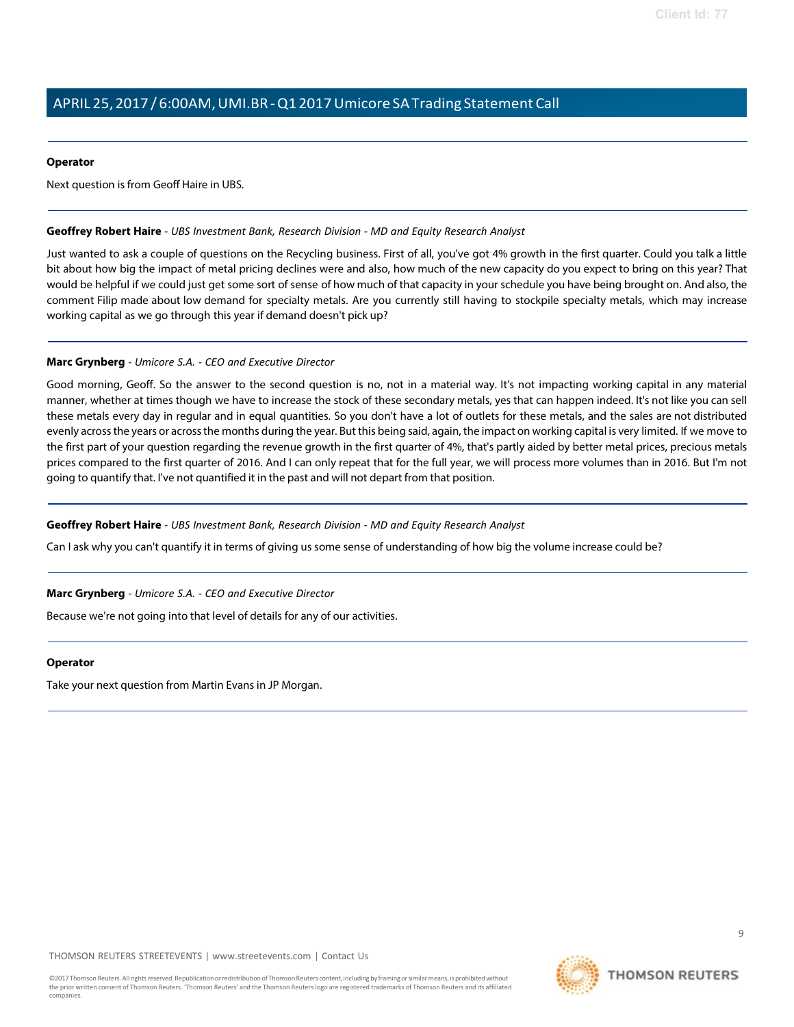#### **Operator**

Next question is from Geoff Haire in UBS.

#### <span id="page-8-0"></span>**Geoffrey Robert Haire** *- UBS Investment Bank, Research Division - MD and Equity Research Analyst*

Just wanted to ask a couple of questions on the Recycling business. First of all, you've got 4% growth in the first quarter. Could you talk a little bit about how big the impact of metal pricing declines were and also, how much of the new capacity do you expect to bring on this year? That would be helpful if we could just get some sort of sense of how much of that capacity in your schedule you have being brought on. And also, the comment Filip made about low demand for specialty metals. Are you currently still having to stockpile specialty metals, which may increase working capital as we go through this year if demand doesn't pick up?

#### **Marc Grynberg** *- Umicore S.A. - CEO and Executive Director*

Good morning, Geoff. So the answer to the second question is no, not in a material way. It's not impacting working capital in any material manner, whether at times though we have to increase the stock of these secondary metals, yes that can happen indeed. It's not like you can sell these metals every day in regular and in equal quantities. So you don't have a lot of outlets for these metals, and the sales are not distributed evenly acrossthe years or acrossthe months during the year. But this being said, again, the impact on working capital is very limited. If we move to the first part of your question regarding the revenue growth in the first quarter of 4%, that's partly aided by better metal prices, precious metals prices compared to the first quarter of 2016. And I can only repeat that for the full year, we will process more volumes than in 2016. But I'm not going to quantify that. I've not quantified it in the past and will not depart from that position.

#### **Geoffrey Robert Haire** *- UBS Investment Bank, Research Division - MD and Equity Research Analyst*

Can I ask why you can't quantify it in terms of giving us some sense of understanding of how big the volume increase could be?

**Marc Grynberg** *- Umicore S.A. - CEO and Executive Director*

Because we're not going into that level of details for any of our activities.

#### **Operator**

Take your next question from Martin Evans in JP Morgan.



 $\alpha$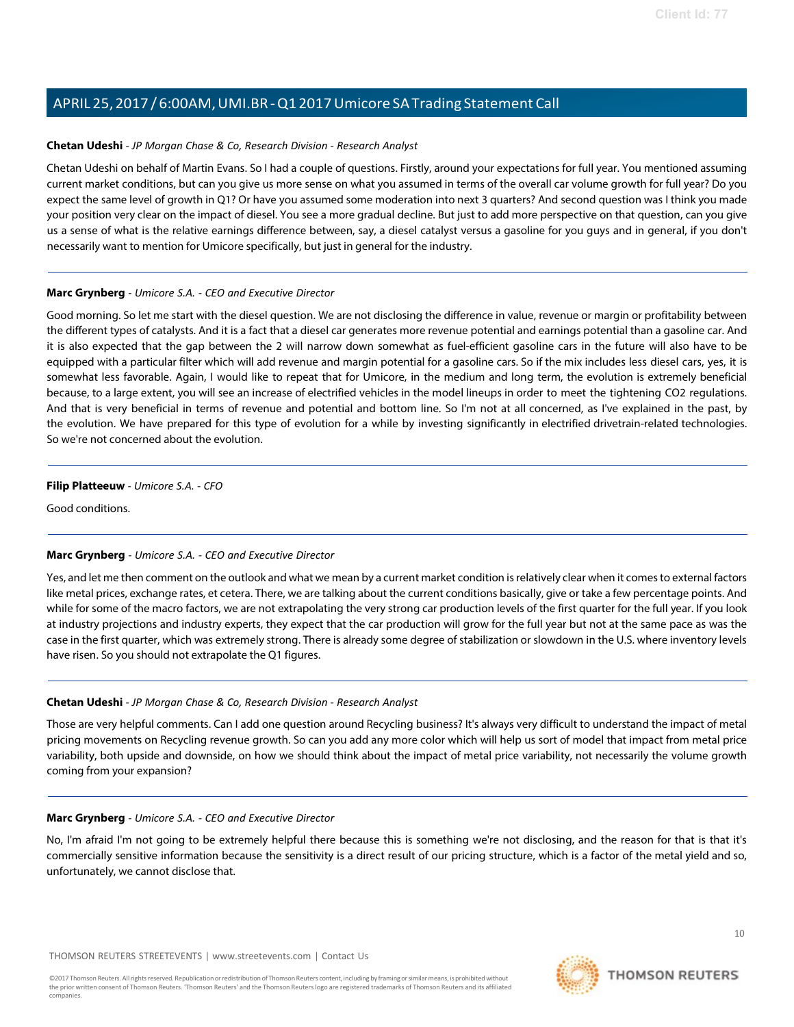#### <span id="page-9-0"></span>**Chetan Udeshi** *- JP Morgan Chase & Co, Research Division - Research Analyst*

Chetan Udeshi on behalf of Martin Evans. So I had a couple of questions. Firstly, around your expectations for full year. You mentioned assuming current market conditions, but can you give us more sense on what you assumed in terms of the overall car volume growth for full year? Do you expect the same level of growth in Q1? Or have you assumed some moderation into next 3 quarters? And second question was I think you made your position very clear on the impact of diesel. You see a more gradual decline. But just to add more perspective on that question, can you give us a sense of what is the relative earnings difference between, say, a diesel catalyst versus a gasoline for you guys and in general, if you don't necessarily want to mention for Umicore specifically, but just in general for the industry.

### **Marc Grynberg** *- Umicore S.A. - CEO and Executive Director*

Good morning. So let me start with the diesel question. We are not disclosing the difference in value, revenue or margin or profitability between the different types of catalysts. And it is a fact that a diesel car generates more revenue potential and earnings potential than a gasoline car. And it is also expected that the gap between the 2 will narrow down somewhat as fuel-efficient gasoline cars in the future will also have to be equipped with a particular filter which will add revenue and margin potential for a gasoline cars. So if the mix includes less diesel cars, yes, it is somewhat less favorable. Again, I would like to repeat that for Umicore, in the medium and long term, the evolution is extremely beneficial because, to a large extent, you will see an increase of electrified vehicles in the model lineups in order to meet the tightening CO2 regulations. And that is very beneficial in terms of revenue and potential and bottom line. So I'm not at all concerned, as I've explained in the past, by the evolution. We have prepared for this type of evolution for a while by investing significantly in electrified drivetrain-related technologies. So we're not concerned about the evolution.

### **Filip Platteeuw** *- Umicore S.A. - CFO*

Good conditions.

## **Marc Grynberg** *- Umicore S.A. - CEO and Executive Director*

Yes, and let me then comment on the outlook and what we mean by a current market condition is relatively clear when it comes to external factors like metal prices, exchange rates, et cetera. There, we are talking about the current conditions basically, give or take a few percentage points. And while for some of the macro factors, we are not extrapolating the very strong car production levels of the first quarter for the full year. If you look at industry projections and industry experts, they expect that the car production will grow for the full year but not at the same pace as was the case in the first quarter, which was extremely strong. There is already some degree of stabilization or slowdown in the U.S. where inventory levels have risen. So you should not extrapolate the Q1 figures.

## **Chetan Udeshi** *- JP Morgan Chase & Co, Research Division - Research Analyst*

Those are very helpful comments. Can I add one question around Recycling business? It's always very difficult to understand the impact of metal pricing movements on Recycling revenue growth. So can you add any more color which will help us sort of model that impact from metal price variability, both upside and downside, on how we should think about the impact of metal price variability, not necessarily the volume growth coming from your expansion?

#### **Marc Grynberg** *- Umicore S.A. - CEO and Executive Director*

No, I'm afraid I'm not going to be extremely helpful there because this is something we're not disclosing, and the reason for that is that it's commercially sensitive information because the sensitivity is a direct result of our pricing structure, which is a factor of the metal yield and so, unfortunately, we cannot disclose that.



 $1<sub>0</sub>$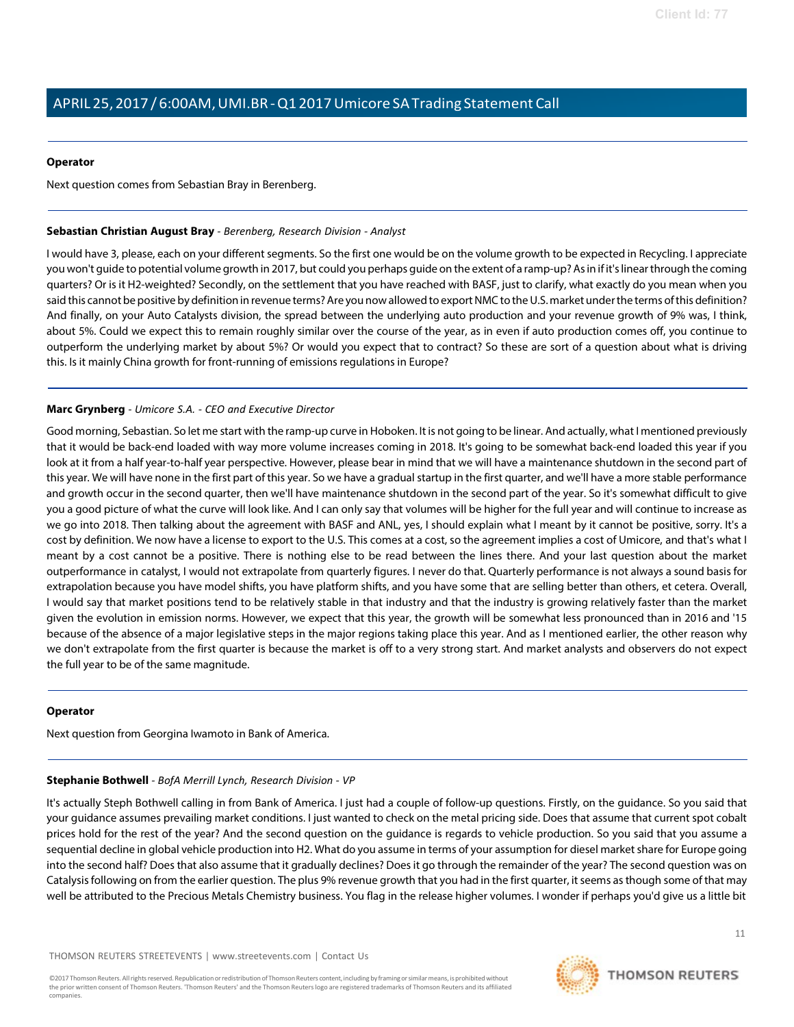#### **Operator**

Next question comes from Sebastian Bray in Berenberg.

#### <span id="page-10-0"></span>**Sebastian Christian August Bray** *- Berenberg, Research Division - Analyst*

I would have 3, please, each on your different segments. So the first one would be on the volume growth to be expected in Recycling. I appreciate you won't guide to potential volume growth in 2017, but could you perhaps guide on the extent of a ramp-up? Asin if it'slinearthrough the coming quarters? Or is it H2-weighted? Secondly, on the settlement that you have reached with BASF, just to clarify, what exactly do you mean when you said this cannot be positive by definition in revenue terms? Are you now allowed to export NMC to the U.S. market under the terms of this definition? And finally, on your Auto Catalysts division, the spread between the underlying auto production and your revenue growth of 9% was, I think, about 5%. Could we expect this to remain roughly similar over the course of the year, as in even if auto production comes off, you continue to outperform the underlying market by about 5%? Or would you expect that to contract? So these are sort of a question about what is driving this. Is it mainly China growth for front-running of emissions regulations in Europe?

#### **Marc Grynberg** *- Umicore S.A. - CEO and Executive Director*

Good morning, Sebastian. So let me start with the ramp-up curve in Hoboken. It is not going to be linear. And actually, what I mentioned previously that it would be back-end loaded with way more volume increases coming in 2018. It's going to be somewhat back-end loaded this year if you look at it from a half year-to-half year perspective. However, please bear in mind that we will have a maintenance shutdown in the second part of this year. We will have none in the first part of this year. So we have a gradual startup in the first quarter, and we'll have a more stable performance and growth occur in the second quarter, then we'll have maintenance shutdown in the second part of the year. So it's somewhat difficult to give you a good picture of what the curve will look like. And I can only say that volumes will be higher for the full year and will continue to increase as we go into 2018. Then talking about the agreement with BASF and ANL, yes, I should explain what I meant by it cannot be positive, sorry. It's a cost by definition. We now have a license to export to the U.S. This comes at a cost, so the agreement implies a cost of Umicore, and that's what I meant by a cost cannot be a positive. There is nothing else to be read between the lines there. And your last question about the market outperformance in catalyst, I would not extrapolate from quarterly figures. I never do that. Quarterly performance is not always a sound basis for extrapolation because you have model shifts, you have platform shifts, and you have some that are selling better than others, et cetera. Overall, I would say that market positions tend to be relatively stable in that industry and that the industry is growing relatively faster than the market given the evolution in emission norms. However, we expect that this year, the growth will be somewhat less pronounced than in 2016 and '15 because of the absence of a major legislative steps in the major regions taking place this year. And as I mentioned earlier, the other reason why we don't extrapolate from the first quarter is because the market is off to a very strong start. And market analysts and observers do not expect the full year to be of the same magnitude.

#### <span id="page-10-1"></span>**Operator**

Next question from Georgina Iwamoto in Bank of America.

## **Stephanie Bothwell** *- BofA Merrill Lynch, Research Division - VP*

It's actually Steph Bothwell calling in from Bank of America. I just had a couple of follow-up questions. Firstly, on the guidance. So you said that your guidance assumes prevailing market conditions. I just wanted to check on the metal pricing side. Does that assume that current spot cobalt prices hold for the rest of the year? And the second question on the guidance is regards to vehicle production. So you said that you assume a sequential decline in global vehicle production into H2. What do you assume in terms of your assumption for diesel market share for Europe going into the second half? Does that also assume that it gradually declines? Doesit go through the remainder of the year? The second question was on Catalysis following on from the earlier question. The plus 9% revenue growth that you had in the first quarter, it seems as though some of that may well be attributed to the Precious Metals Chemistry business. You flag in the release higher volumes. I wonder if perhaps you'd give us a little bit

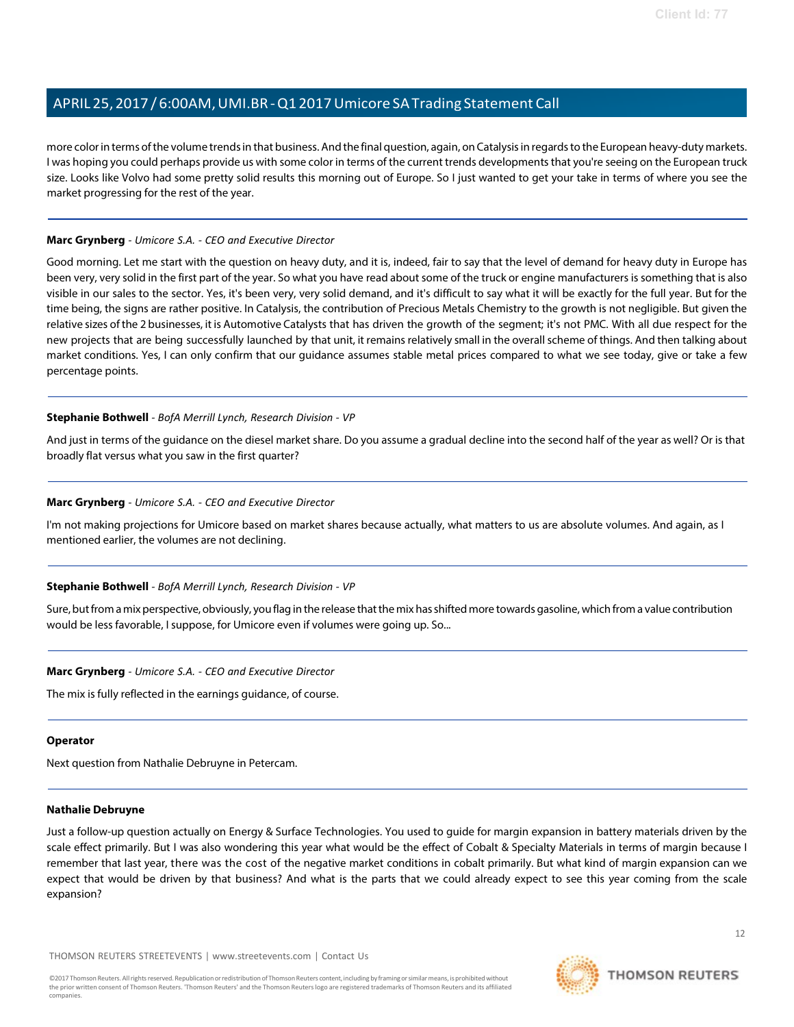more colorin terms ofthe volume trendsin that business. And the final question, again, on Catalysisin regardsto the European heavy-duty markets. I was hoping you could perhaps provide us with some color in terms of the current trends developments that you're seeing on the European truck size. Looks like Volvo had some pretty solid results this morning out of Europe. So I just wanted to get your take in terms of where you see the market progressing for the rest of the year.

#### **Marc Grynberg** *- Umicore S.A. - CEO and Executive Director*

Good morning. Let me start with the question on heavy duty, and it is, indeed, fair to say that the level of demand for heavy duty in Europe has been very, very solid in the first part of the year. So what you have read about some of the truck or engine manufacturers is something that is also visible in our sales to the sector. Yes, it's been very, very solid demand, and it's difficult to say what it will be exactly for the full year. But for the time being, the signs are rather positive. In Catalysis, the contribution of Precious Metals Chemistry to the growth is not negligible. But given the relative sizes of the 2 businesses, it is Automotive Catalysts that has driven the growth of the segment; it's not PMC. With all due respect for the new projects that are being successfully launched by that unit, it remains relatively small in the overallscheme of things. And then talking about market conditions. Yes, I can only confirm that our guidance assumes stable metal prices compared to what we see today, give or take a few percentage points.

#### **Stephanie Bothwell** *- BofA Merrill Lynch, Research Division - VP*

And just in terms of the guidance on the diesel market share. Do you assume a gradual decline into the second half of the year as well? Or is that broadly flat versus what you saw in the first quarter?

### **Marc Grynberg** *- Umicore S.A. - CEO and Executive Director*

I'm not making projections for Umicore based on market shares because actually, what matters to us are absolute volumes. And again, as I mentioned earlier, the volumes are not declining.

#### **Stephanie Bothwell** *- BofA Merrill Lynch, Research Division - VP*

Sure,butfrom amixperspective, obviously, you flag in the release thatthe mix hasshiftedmore towards gasoline, which from a value contribution would be less favorable, I suppose, for Umicore even if volumes were going up. So...

#### **Marc Grynberg** *- Umicore S.A. - CEO and Executive Director*

The mix is fully reflected in the earnings guidance, of course.

#### **Operator**

Next question from Nathalie Debruyne in Petercam.

#### **Nathalie Debruyne**

Just a follow-up question actually on Energy & Surface Technologies. You used to guide for margin expansion in battery materials driven by the scale effect primarily. But I was also wondering this year what would be the effect of Cobalt & Specialty Materials in terms of margin because I remember that last year, there was the cost of the negative market conditions in cobalt primarily. But what kind of margin expansion can we expect that would be driven by that business? And what is the parts that we could already expect to see this year coming from the scale expansion?

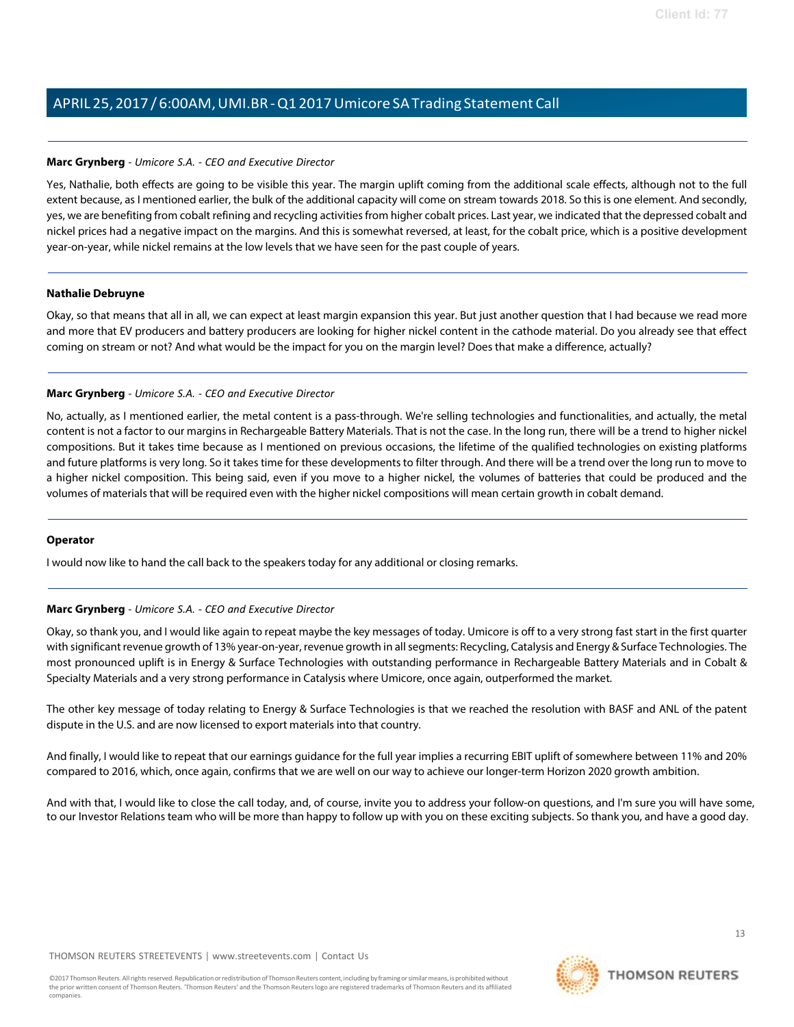#### **Marc Grynberg** *- Umicore S.A. - CEO and Executive Director*

Yes, Nathalie, both effects are going to be visible this year. The margin uplift coming from the additional scale effects, although not to the full extent because, as I mentioned earlier, the bulk of the additional capacity will come on stream towards 2018. So this is one element. And secondly, yes, we are benefiting from cobalt refining and recycling activitiesfrom higher cobalt prices. Last year, we indicated that the depressed cobalt and nickel prices had a negative impact on the margins. And this is somewhat reversed, at least, for the cobalt price, which is a positive development year-on-year, while nickel remains at the low levels that we have seen for the past couple of years.

#### **Nathalie Debruyne**

Okay, so that means that all in all, we can expect at least margin expansion this year. But just another question that I had because we read more and more that EV producers and battery producers are looking for higher nickel content in the cathode material. Do you already see that effect coming on stream or not? And what would be the impact for you on the margin level? Does that make a difference, actually?

### **Marc Grynberg** *- Umicore S.A. - CEO and Executive Director*

No, actually, as I mentioned earlier, the metal content is a pass-through. We're selling technologies and functionalities, and actually, the metal content is not a factor to our margins in Rechargeable Battery Materials. That is not the case. In the long run, there will be a trend to higher nickel compositions. But it takes time because as I mentioned on previous occasions, the lifetime of the qualified technologies on existing platforms and future platforms is very long. So it takes time for these developments to filter through. And there will be a trend over the long run to move to a higher nickel composition. This being said, even if you move to a higher nickel, the volumes of batteries that could be produced and the volumes of materials that will be required even with the higher nickel compositions will mean certain growth in cobalt demand.

#### **Operator**

I would now like to hand the call back to the speakers today for any additional or closing remarks.

## **Marc Grynberg** *- Umicore S.A. - CEO and Executive Director*

Okay, so thank you, and I would like again to repeat maybe the key messages of today. Umicore is off to a very strong fast start in the first quarter with significant revenue growth of 13% year-on-year, revenue growth in all segments: Recycling, Catalysis and Energy & Surface Technologies. The most pronounced uplift is in Energy & Surface Technologies with outstanding performance in Rechargeable Battery Materials and in Cobalt & Specialty Materials and a very strong performance in Catalysis where Umicore, once again, outperformed the market.

The other key message of today relating to Energy & Surface Technologies is that we reached the resolution with BASF and ANL of the patent dispute in the U.S. and are now licensed to export materials into that country.

And finally, I would like to repeat that our earnings guidance for the full year implies a recurring EBIT uplift of somewhere between 11% and 20% compared to 2016, which, once again, confirms that we are well on our way to achieve our longer-term Horizon 2020 growth ambition.

And with that, I would like to close the call today, and, of course, invite you to address your follow-on questions, and I'm sure you will have some, to our Investor Relations team who will be more than happy to follow up with you on these exciting subjects. So thank you, and have a good day.